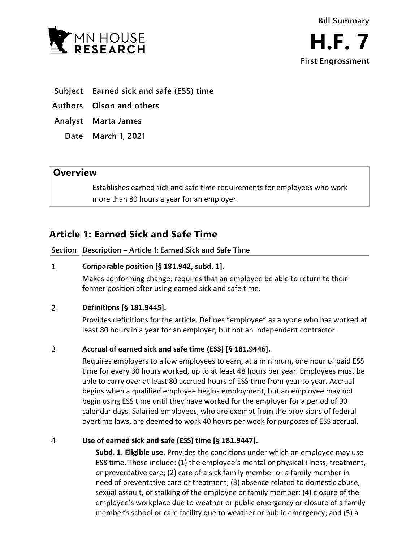

- **Subject Earned sick and safe (ESS) time**
- **Authors Olson and others**
- **Analyst Marta James**
	- **Date March 1, 2021**

## **Overview**

Establishes earned sick and safe time requirements for employees who work more than 80 hours a year for an employer.

# **Article 1: Earned Sick and Safe Time**

**Section Description – Article 1: Earned Sick and Safe Time**

### $\mathbf{1}$ **Comparable position [§ 181.942, subd. 1].**

Makes conforming change; requires that an employee be able to return to their former position after using earned sick and safe time.

### $\overline{2}$ **Definitions [§ 181.9445].**

Provides definitions for the article. Defines "employee" as anyone who has worked at least 80 hours in a year for an employer, but not an independent contractor.

### 3 **Accrual of earned sick and safe time (ESS) [§ 181.9446].**

Requires employers to allow employees to earn, at a minimum, one hour of paid ESS time for every 30 hours worked, up to at least 48 hours per year. Employees must be able to carry over at least 80 accrued hours of ESS time from year to year. Accrual begins when a qualified employee begins employment, but an employee may not begin using ESS time until they have worked for the employer for a period of 90 calendar days. Salaried employees, who are exempt from the provisions of federal overtime laws, are deemed to work 40 hours per week for purposes of ESS accrual.

### $\overline{4}$ **Use of earned sick and safe (ESS) time [§ 181.9447].**

**Subd. 1. Eligible use.** Provides the conditions under which an employee may use ESS time. These include: (1) the employee's mental or physical illness, treatment, or preventative care; (2) care of a sick family member or a family member in need of preventative care or treatment; (3) absence related to domestic abuse, sexual assault, or stalking of the employee or family member; (4) closure of the employee's workplace due to weather or public emergency or closure of a family member's school or care facility due to weather or public emergency; and (5) a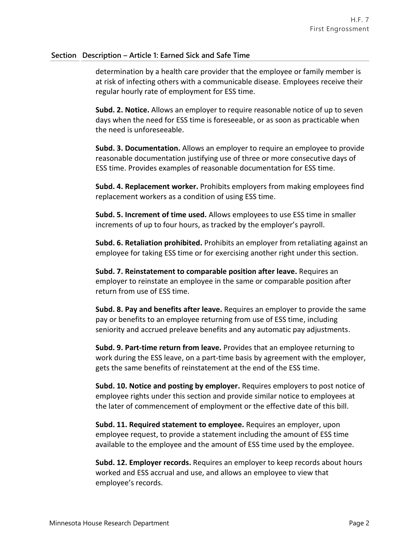## **Section Description – Article 1: Earned Sick and Safe Time**

determination by a health care provider that the employee or family member is at risk of infecting others with a communicable disease. Employees receive their regular hourly rate of employment for ESS time.

**Subd. 2. Notice.** Allows an employer to require reasonable notice of up to seven days when the need for ESS time is foreseeable, or as soon as practicable when the need is unforeseeable.

**Subd. 3. Documentation.** Allows an employer to require an employee to provide reasonable documentation justifying use of three or more consecutive days of ESS time. Provides examples of reasonable documentation for ESS time.

**Subd. 4. Replacement worker.** Prohibits employers from making employees find replacement workers as a condition of using ESS time.

**Subd. 5. Increment of time used.** Allows employees to use ESS time in smaller increments of up to four hours, as tracked by the employer's payroll.

**Subd. 6. Retaliation prohibited.** Prohibits an employer from retaliating against an employee for taking ESS time or for exercising another right under this section.

**Subd. 7. Reinstatement to comparable position after leave.** Requires an employer to reinstate an employee in the same or comparable position after return from use of ESS time.

**Subd. 8. Pay and benefits after leave.** Requires an employer to provide the same pay or benefits to an employee returning from use of ESS time, including seniority and accrued preleave benefits and any automatic pay adjustments.

**Subd. 9. Part-time return from leave.** Provides that an employee returning to work during the ESS leave, on a part-time basis by agreement with the employer, gets the same benefits of reinstatement at the end of the ESS time.

**Subd. 10. Notice and posting by employer.** Requires employers to post notice of employee rights under this section and provide similar notice to employees at the later of commencement of employment or the effective date of this bill.

**Subd. 11. Required statement to employee.** Requires an employer, upon employee request, to provide a statement including the amount of ESS time available to the employee and the amount of ESS time used by the employee.

**Subd. 12. Employer records.** Requires an employer to keep records about hours worked and ESS accrual and use, and allows an employee to view that employee's records.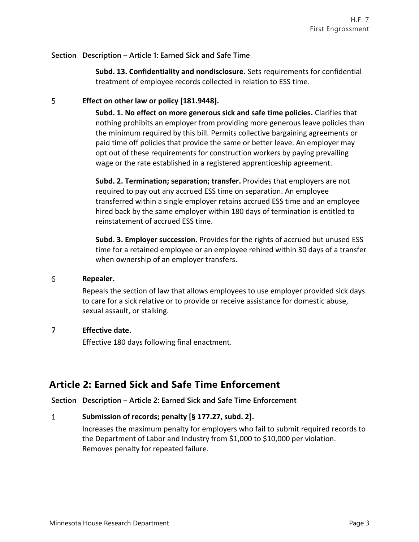## **Section Description – Article 1: Earned Sick and Safe Time**

**Subd. 13. Confidentiality and nondisclosure.** Sets requirements for confidential treatment of employee records collected in relation to ESS time.

### 5 **Effect on other law or policy [181.9448].**

**Subd. 1. No effect on more generous sick and safe time policies.** Clarifies that nothing prohibits an employer from providing more generous leave policies than the minimum required by this bill. Permits collective bargaining agreements or paid time off policies that provide the same or better leave. An employer may opt out of these requirements for construction workers by paying prevailing wage or the rate established in a registered apprenticeship agreement.

**Subd. 2. Termination; separation; transfer.** Provides that employers are not required to pay out any accrued ESS time on separation. An employee transferred within a single employer retains accrued ESS time and an employee hired back by the same employer within 180 days of termination is entitled to reinstatement of accrued ESS time.

**Subd. 3. Employer succession.** Provides for the rights of accrued but unused ESS time for a retained employee or an employee rehired within 30 days of a transfer when ownership of an employer transfers.

#### 6 **Repealer.**

Repeals the section of law that allows employees to use employer provided sick days to care for a sick relative or to provide or receive assistance for domestic abuse, sexual assault, or stalking.

### $\overline{7}$ **Effective date.**

Effective 180 days following final enactment.

## **Article 2: Earned Sick and Safe Time Enforcement**

### **Section Description – Article 2: Earned Sick and Safe Time Enforcement**

### $\mathbf{1}$ **Submission of records; penalty [§ 177.27, subd. 2].**

Increases the maximum penalty for employers who fail to submit required records to the Department of Labor and Industry from \$1,000 to \$10,000 per violation. Removes penalty for repeated failure.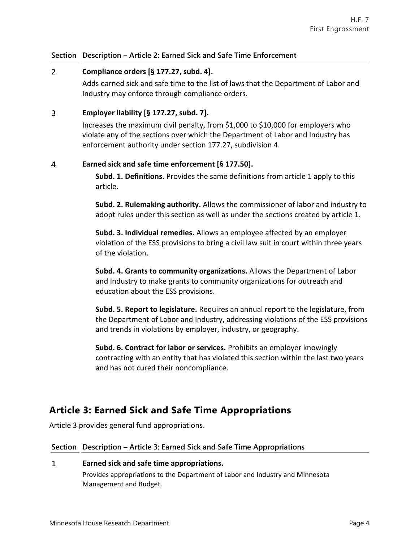## **Section Description – Article 2: Earned Sick and Safe Time Enforcement**

### $\overline{2}$ **Compliance orders [§ 177.27, subd. 4].**

Adds earned sick and safe time to the list of laws that the Department of Labor and Industry may enforce through compliance orders.

### $\overline{3}$ **Employer liability [§ 177.27, subd. 7].**

Increases the maximum civil penalty, from \$1,000 to \$10,000 for employers who violate any of the sections over which the Department of Labor and Industry has enforcement authority under section 177.27, subdivision 4.

### $\overline{4}$ **Earned sick and safe time enforcement [§ 177.50].**

**Subd. 1. Definitions.** Provides the same definitions from article 1 apply to this article.

**Subd. 2. Rulemaking authority.** Allows the commissioner of labor and industry to adopt rules under this section as well as under the sections created by article 1.

**Subd. 3. Individual remedies.** Allows an employee affected by an employer violation of the ESS provisions to bring a civil law suit in court within three years of the violation.

**Subd. 4. Grants to community organizations.** Allows the Department of Labor and Industry to make grants to community organizations for outreach and education about the ESS provisions.

**Subd. 5. Report to legislature.** Requires an annual report to the legislature, from the Department of Labor and Industry, addressing violations of the ESS provisions and trends in violations by employer, industry, or geography.

**Subd. 6. Contract for labor or services.** Prohibits an employer knowingly contracting with an entity that has violated this section within the last two years and has not cured their noncompliance.

# **Article 3: Earned Sick and Safe Time Appropriations**

Article 3 provides general fund appropriations.

## **Section Description – Article 3: Earned Sick and Safe Time Appropriations**

### $\mathbf{1}$ **Earned sick and safe time appropriations.**

Provides appropriations to the Department of Labor and Industry and Minnesota Management and Budget.